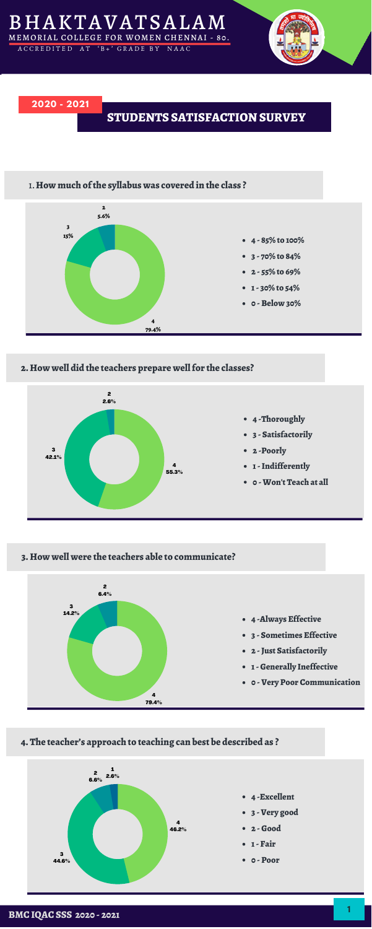



#### **2. How well did the teachers prepare wellfor the classes?**

**3. How well were the teachers able to communicate?**





## **4. The teacher's approach to teaching can best be described as ?**

- **4 -Excellent**
- **3 - Very good**
- **2 -Good**
- **1- Fair**
- **0 - Poor**



**<sup>1</sup> BMC IQAC SSS <sup>2020</sup> - <sup>2021</sup>**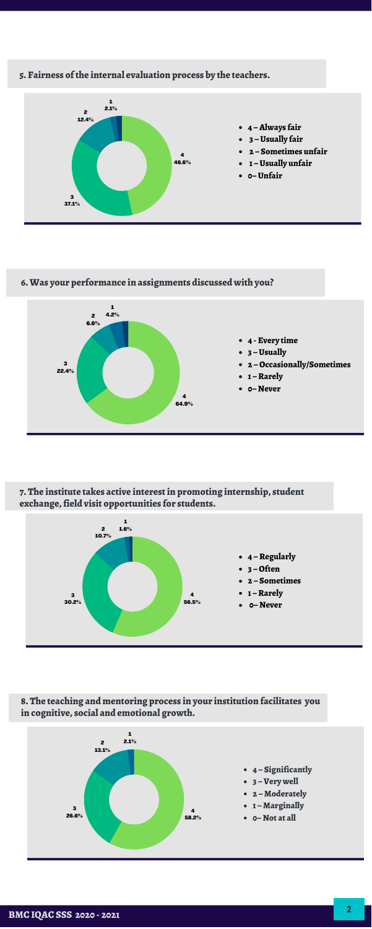# **5. Fairness ofthe internal evaluation process by the teachers.**

**6.Was your performance in assignments discussed with you?**

**7. The institute takes active interestin promoting internship, student exchange,field visit opportunities for students.**



**8. The teaching and mentoring process in your institution facilitates you in cognitive, social and emotional growth.**





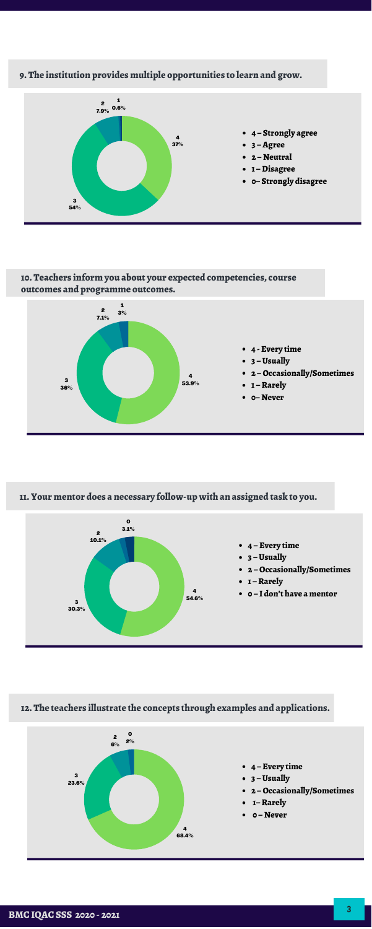## **9. The institution provides multiple opportunities to learn and grow.**

**10. Teachers inform you about your expected competencies, course outcomes and programme outcomes.**

**11. Your mentor does a necessary follow-up with an assigned task to you.**



- **4 – Every time**
- **3 –Usually**
- **2 –Occasionally/Sometimes**
- **1–Rarely**
- **0 – Never** $\bullet$

## **12. The teachers illustrate the concepts through examples and applications.**





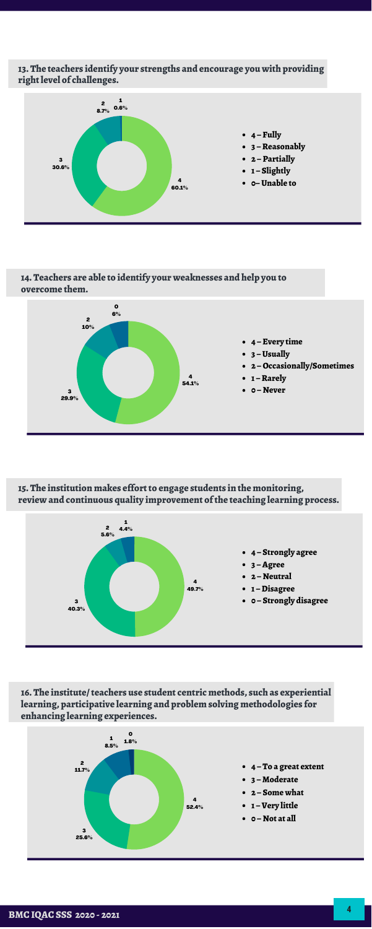**13. The teachers identify your strengths and encourage you with providing rightlevel of challenges.**

**14. Teachers are able to identify your weaknesses and help you to overcome them.**

**15. The institution makes effortto engage students in the monitoring, review and continuous quality improvement ofthe teaching learning process.**





**16. The institute/teachers use student centric methods, such as experiential learning, participative learning and problem solving methodologies for enhancing learning experiences.**



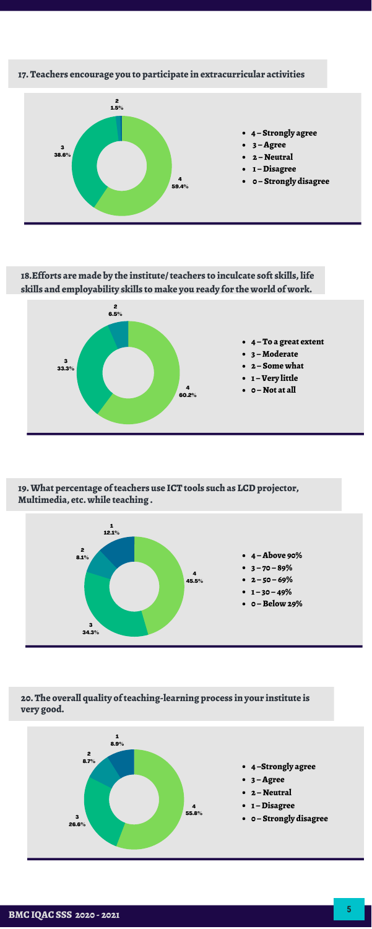# **17. Teachers encourage you to participate in extracurricular activities**

**18.Efforts are made by the institute/teachers to inculcate soft skills, life skills and employability skills to make you ready for the world of work.**

**19.What percentage ofteachers use ICT tools such as LCDprojector, Multimedia, etc. while teaching .**

**20. The overall quality ofteaching-learning process in your institute is very good.**